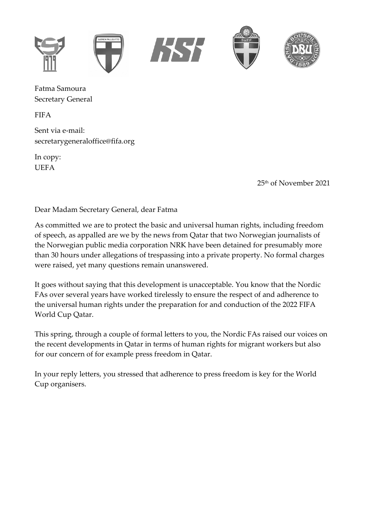

Fatma Samoura Secretary General

FIFA

Sent via e-mail: [secretarygeneraloffice@fifa.org](mailto:secretarygeneraloffice@fifa.org)

In copy: UEFA

25th of November 2021

Dear Madam Secretary General, dear Fatma

As committed we are to protect the basic and universal human rights, including freedom of speech, as appalled are we by the news from Qatar that two Norwegian journalists of the Norwegian public media corporation NRK have been detained for presumably more than 30 hours under allegations of trespassing into a private property. No formal charges were raised, yet many questions remain unanswered.

It goes without saying that this development is unacceptable. You know that the Nordic FAs over several years have worked tirelessly to ensure the respect of and adherence to the universal human rights under the preparation for and conduction of the 2022 FIFA World Cup Qatar.

This spring, through a couple of formal letters to you, the Nordic FAs raised our voices on the recent developments in Qatar in terms of human rights for migrant workers but also for our concern of for example press freedom in Qatar.

In your reply letters, you stressed that adherence to press freedom is key for the World Cup organisers.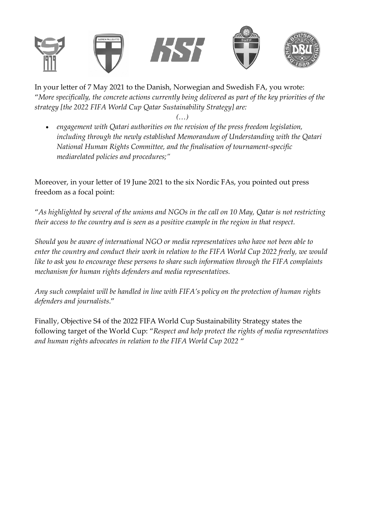

In your letter of 7 May 2021 to the Danish, Norwegian and Swedish FA, you wrote: "*More specifically, the concrete actions currently being delivered as part of the key priorities of the strategy [the 2022 FIFA World Cup Qatar Sustainability Strategy] are:*

- *(…)*
- *engagement with Qatari authorities on the revision of the press freedom legislation, including through the newly established Memorandum of Understanding with the Qatari National Human Rights Committee, and the finalisation of tournament-specific mediarelated policies and procedures;"*

Moreover, in your letter of 19 June 2021 to the six Nordic FAs, you pointed out press freedom as a focal point:

"*As highlighted by several of the unions and NGOs in the call on 10 May, Qatar is not restricting their access to the country and is seen as a positive example in the region in that respect.* 

*Should you be aware of international NGO or media representatives who have not been able to enter the country and conduct their work in relation to the FIFA World Cup 2022 freely, we would like to ask you to encourage these persons to share such information through the FIFA complaints mechanism for human rights defenders and media representatives.* 

*Any such complaint will be handled in line with FIFA's policy on the protection of human rights defenders and journalists*."

Finally, Objective S4 of the 2022 FIFA World Cup Sustainability Strategy states the following target of the World Cup: "*Respect and help protect the rights of media representatives and human rights advocates in relation to the FIFA World Cup 2022* "